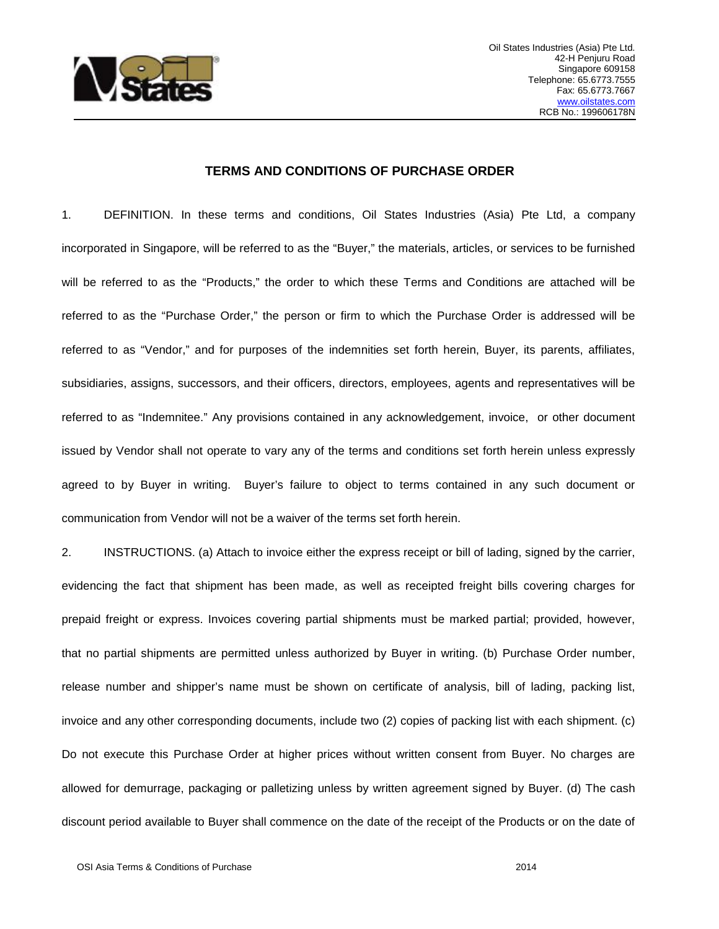

## **TERMS AND CONDITIONS OF PURCHASE ORDER**

1. DEFINITION. In these terms and conditions, Oil States Industries (Asia) Pte Ltd, a company incorporated in Singapore, will be referred to as the "Buyer," the materials, articles, or services to be furnished will be referred to as the "Products," the order to which these Terms and Conditions are attached will be referred to as the "Purchase Order," the person or firm to which the Purchase Order is addressed will be referred to as "Vendor," and for purposes of the indemnities set forth herein, Buyer, its parents, affiliates, subsidiaries, assigns, successors, and their officers, directors, employees, agents and representatives will be referred to as "Indemnitee." Any provisions contained in any acknowledgement, invoice, or other document issued by Vendor shall not operate to vary any of the terms and conditions set forth herein unless expressly agreed to by Buyer in writing. Buyer's failure to object to terms contained in any such document or communication from Vendor will not be a waiver of the terms set forth herein.

2. INSTRUCTIONS. (a) Attach to invoice either the express receipt or bill of lading, signed by the carrier, evidencing the fact that shipment has been made, as well as receipted freight bills covering charges for prepaid freight or express. Invoices covering partial shipments must be marked partial; provided, however, that no partial shipments are permitted unless authorized by Buyer in writing. (b) Purchase Order number, release number and shipper's name must be shown on certificate of analysis, bill of lading, packing list, invoice and any other corresponding documents, include two (2) copies of packing list with each shipment. (c) Do not execute this Purchase Order at higher prices without written consent from Buyer. No charges are allowed for demurrage, packaging or palletizing unless by written agreement signed by Buyer. (d) The cash discount period available to Buyer shall commence on the date of the receipt of the Products or on the date of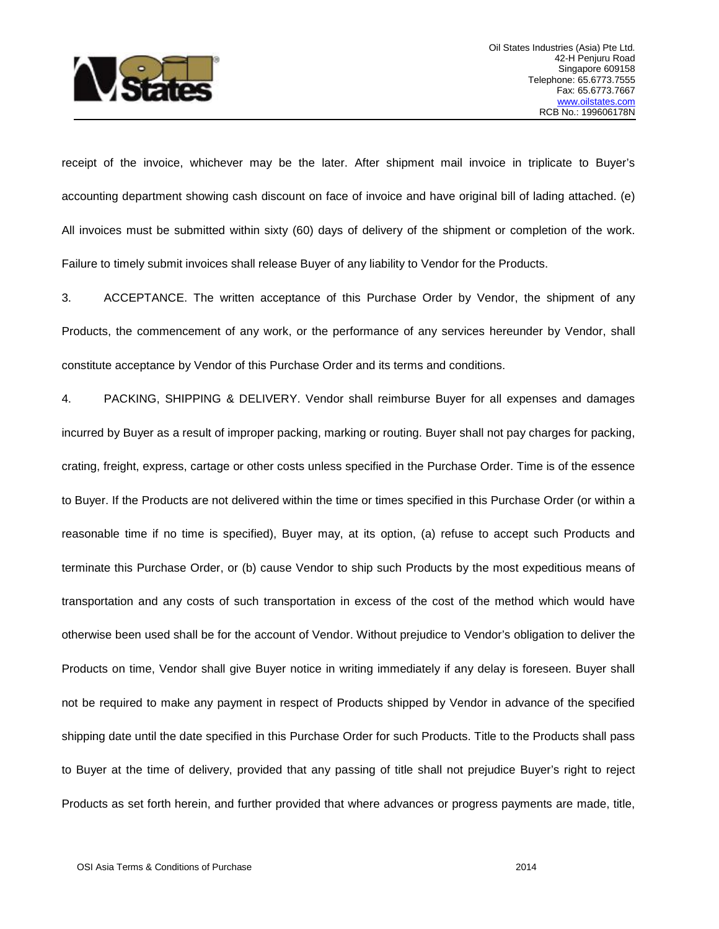

receipt of the invoice, whichever may be the later. After shipment mail invoice in triplicate to Buyer's accounting department showing cash discount on face of invoice and have original bill of lading attached. (e) All invoices must be submitted within sixty (60) days of delivery of the shipment or completion of the work. Failure to timely submit invoices shall release Buyer of any liability to Vendor for the Products.

3. ACCEPTANCE. The written acceptance of this Purchase Order by Vendor, the shipment of any Products, the commencement of any work, or the performance of any services hereunder by Vendor, shall constitute acceptance by Vendor of this Purchase Order and its terms and conditions.

4. PACKING, SHIPPING & DELIVERY. Vendor shall reimburse Buyer for all expenses and damages incurred by Buyer as a result of improper packing, marking or routing. Buyer shall not pay charges for packing, crating, freight, express, cartage or other costs unless specified in the Purchase Order. Time is of the essence to Buyer. If the Products are not delivered within the time or times specified in this Purchase Order (or within a reasonable time if no time is specified), Buyer may, at its option, (a) refuse to accept such Products and terminate this Purchase Order, or (b) cause Vendor to ship such Products by the most expeditious means of transportation and any costs of such transportation in excess of the cost of the method which would have otherwise been used shall be for the account of Vendor. Without prejudice to Vendor's obligation to deliver the Products on time, Vendor shall give Buyer notice in writing immediately if any delay is foreseen. Buyer shall not be required to make any payment in respect of Products shipped by Vendor in advance of the specified shipping date until the date specified in this Purchase Order for such Products. Title to the Products shall pass to Buyer at the time of delivery, provided that any passing of title shall not prejudice Buyer's right to reject Products as set forth herein, and further provided that where advances or progress payments are made, title,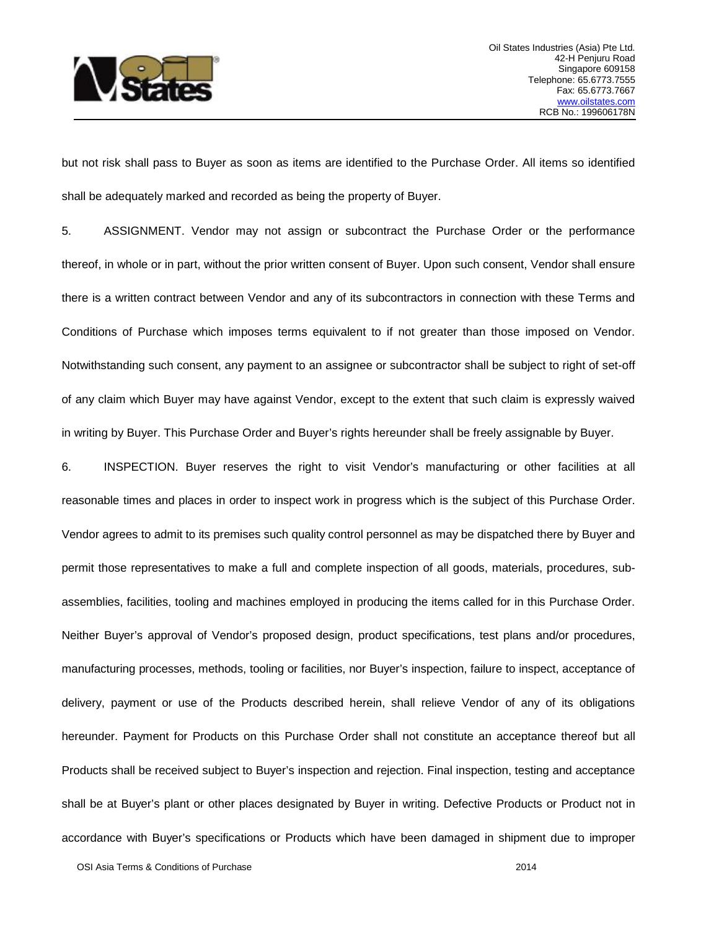

but not risk shall pass to Buyer as soon as items are identified to the Purchase Order. All items so identified shall be adequately marked and recorded as being the property of Buyer.

5. ASSIGNMENT. Vendor may not assign or subcontract the Purchase Order or the performance thereof, in whole or in part, without the prior written consent of Buyer. Upon such consent, Vendor shall ensure there is a written contract between Vendor and any of its subcontractors in connection with these Terms and Conditions of Purchase which imposes terms equivalent to if not greater than those imposed on Vendor. Notwithstanding such consent, any payment to an assignee or subcontractor shall be subject to right of set-off of any claim which Buyer may have against Vendor, except to the extent that such claim is expressly waived in writing by Buyer. This Purchase Order and Buyer's rights hereunder shall be freely assignable by Buyer.

6. INSPECTION. Buyer reserves the right to visit Vendor's manufacturing or other facilities at all reasonable times and places in order to inspect work in progress which is the subject of this Purchase Order. Vendor agrees to admit to its premises such quality control personnel as may be dispatched there by Buyer and permit those representatives to make a full and complete inspection of all goods, materials, procedures, subassemblies, facilities, tooling and machines employed in producing the items called for in this Purchase Order. Neither Buyer's approval of Vendor's proposed design, product specifications, test plans and/or procedures, manufacturing processes, methods, tooling or facilities, nor Buyer's inspection, failure to inspect, acceptance of delivery, payment or use of the Products described herein, shall relieve Vendor of any of its obligations hereunder. Payment for Products on this Purchase Order shall not constitute an acceptance thereof but all Products shall be received subject to Buyer's inspection and rejection. Final inspection, testing and acceptance shall be at Buyer's plant or other places designated by Buyer in writing. Defective Products or Product not in accordance with Buyer's specifications or Products which have been damaged in shipment due to improper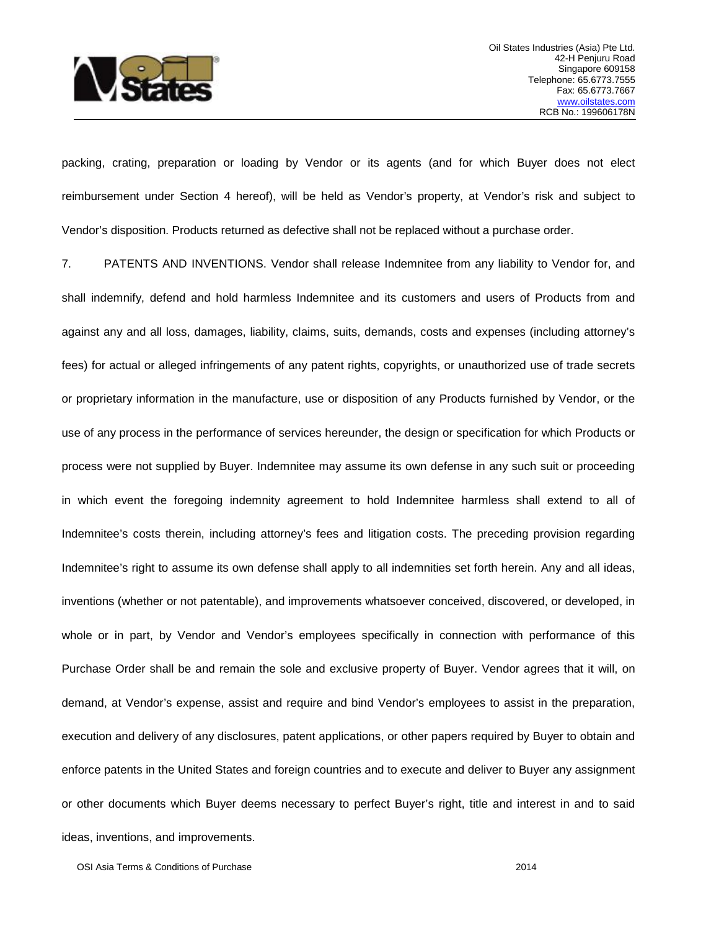

packing, crating, preparation or loading by Vendor or its agents (and for which Buyer does not elect reimbursement under Section 4 hereof), will be held as Vendor's property, at Vendor's risk and subject to Vendor's disposition. Products returned as defective shall not be replaced without a purchase order.

7. PATENTS AND INVENTIONS. Vendor shall release Indemnitee from any liability to Vendor for, and shall indemnify, defend and hold harmless Indemnitee and its customers and users of Products from and against any and all loss, damages, liability, claims, suits, demands, costs and expenses (including attorney's fees) for actual or alleged infringements of any patent rights, copyrights, or unauthorized use of trade secrets or proprietary information in the manufacture, use or disposition of any Products furnished by Vendor, or the use of any process in the performance of services hereunder, the design or specification for which Products or process were not supplied by Buyer. Indemnitee may assume its own defense in any such suit or proceeding in which event the foregoing indemnity agreement to hold Indemnitee harmless shall extend to all of Indemnitee's costs therein, including attorney's fees and litigation costs. The preceding provision regarding Indemnitee's right to assume its own defense shall apply to all indemnities set forth herein. Any and all ideas, inventions (whether or not patentable), and improvements whatsoever conceived, discovered, or developed, in whole or in part, by Vendor and Vendor's employees specifically in connection with performance of this Purchase Order shall be and remain the sole and exclusive property of Buyer. Vendor agrees that it will, on demand, at Vendor's expense, assist and require and bind Vendor's employees to assist in the preparation, execution and delivery of any disclosures, patent applications, or other papers required by Buyer to obtain and enforce patents in the United States and foreign countries and to execute and deliver to Buyer any assignment or other documents which Buyer deems necessary to perfect Buyer's right, title and interest in and to said ideas, inventions, and improvements.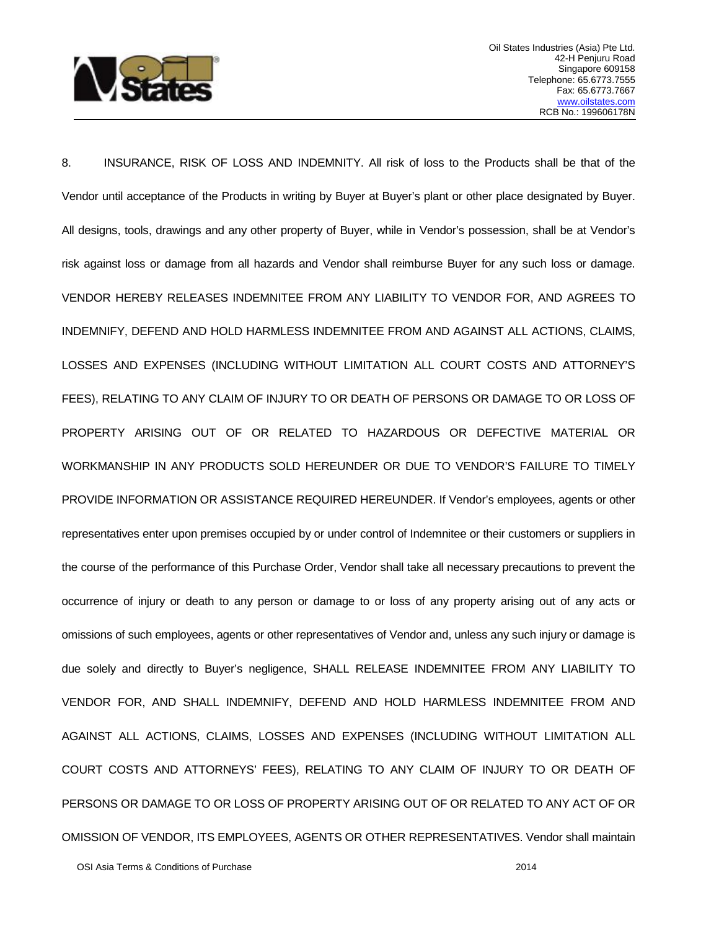

8. INSURANCE, RISK OF LOSS AND INDEMNITY. All risk of loss to the Products shall be that of the Vendor until acceptance of the Products in writing by Buyer at Buyer's plant or other place designated by Buyer. All designs, tools, drawings and any other property of Buyer, while in Vendor's possession, shall be at Vendor's risk against loss or damage from all hazards and Vendor shall reimburse Buyer for any such loss or damage. VENDOR HEREBY RELEASES INDEMNITEE FROM ANY LIABILITY TO VENDOR FOR, AND AGREES TO INDEMNIFY, DEFEND AND HOLD HARMLESS INDEMNITEE FROM AND AGAINST ALL ACTIONS, CLAIMS, LOSSES AND EXPENSES (INCLUDING WITHOUT LIMITATION ALL COURT COSTS AND ATTORNEY'S FEES), RELATING TO ANY CLAIM OF INJURY TO OR DEATH OF PERSONS OR DAMAGE TO OR LOSS OF PROPERTY ARISING OUT OF OR RELATED TO HAZARDOUS OR DEFECTIVE MATERIAL OR WORKMANSHIP IN ANY PRODUCTS SOLD HEREUNDER OR DUE TO VENDOR'S FAILURE TO TIMELY PROVIDE INFORMATION OR ASSISTANCE REQUIRED HEREUNDER. If Vendor's employees, agents or other representatives enter upon premises occupied by or under control of Indemnitee or their customers or suppliers in the course of the performance of this Purchase Order, Vendor shall take all necessary precautions to prevent the occurrence of injury or death to any person or damage to or loss of any property arising out of any acts or omissions of such employees, agents or other representatives of Vendor and, unless any such injury or damage is due solely and directly to Buyer's negligence, SHALL RELEASE INDEMNITEE FROM ANY LIABILITY TO VENDOR FOR, AND SHALL INDEMNIFY, DEFEND AND HOLD HARMLESS INDEMNITEE FROM AND AGAINST ALL ACTIONS, CLAIMS, LOSSES AND EXPENSES (INCLUDING WITHOUT LIMITATION ALL COURT COSTS AND ATTORNEYS' FEES), RELATING TO ANY CLAIM OF INJURY TO OR DEATH OF PERSONS OR DAMAGE TO OR LOSS OF PROPERTY ARISING OUT OF OR RELATED TO ANY ACT OF OR OMISSION OF VENDOR, ITS EMPLOYEES, AGENTS OR OTHER REPRESENTATIVES. Vendor shall maintain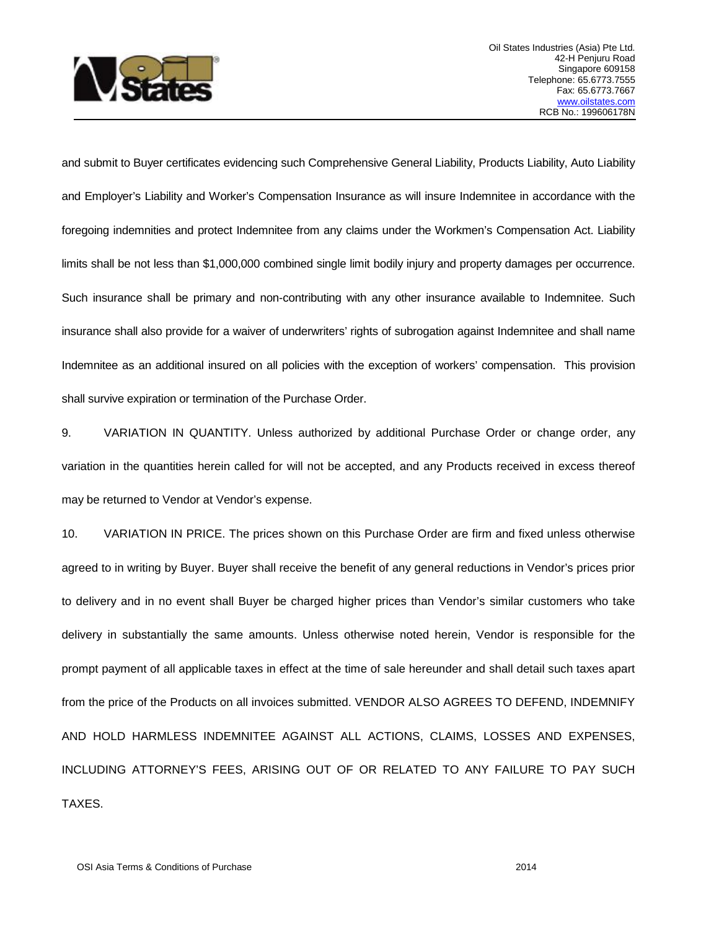

and submit to Buyer certificates evidencing such Comprehensive General Liability, Products Liability, Auto Liability and Employer's Liability and Worker's Compensation Insurance as will insure Indemnitee in accordance with the foregoing indemnities and protect Indemnitee from any claims under the Workmen's Compensation Act. Liability limits shall be not less than \$1,000,000 combined single limit bodily injury and property damages per occurrence. Such insurance shall be primary and non-contributing with any other insurance available to Indemnitee. Such insurance shall also provide for a waiver of underwriters' rights of subrogation against Indemnitee and shall name Indemnitee as an additional insured on all policies with the exception of workers' compensation. This provision shall survive expiration or termination of the Purchase Order.

9. VARIATION IN QUANTITY. Unless authorized by additional Purchase Order or change order, any variation in the quantities herein called for will not be accepted, and any Products received in excess thereof may be returned to Vendor at Vendor's expense.

10. VARIATION IN PRICE. The prices shown on this Purchase Order are firm and fixed unless otherwise agreed to in writing by Buyer. Buyer shall receive the benefit of any general reductions in Vendor's prices prior to delivery and in no event shall Buyer be charged higher prices than Vendor's similar customers who take delivery in substantially the same amounts. Unless otherwise noted herein, Vendor is responsible for the prompt payment of all applicable taxes in effect at the time of sale hereunder and shall detail such taxes apart from the price of the Products on all invoices submitted. VENDOR ALSO AGREES TO DEFEND, INDEMNIFY AND HOLD HARMLESS INDEMNITEE AGAINST ALL ACTIONS, CLAIMS, LOSSES AND EXPENSES, INCLUDING ATTORNEY'S FEES, ARISING OUT OF OR RELATED TO ANY FAILURE TO PAY SUCH TAXES.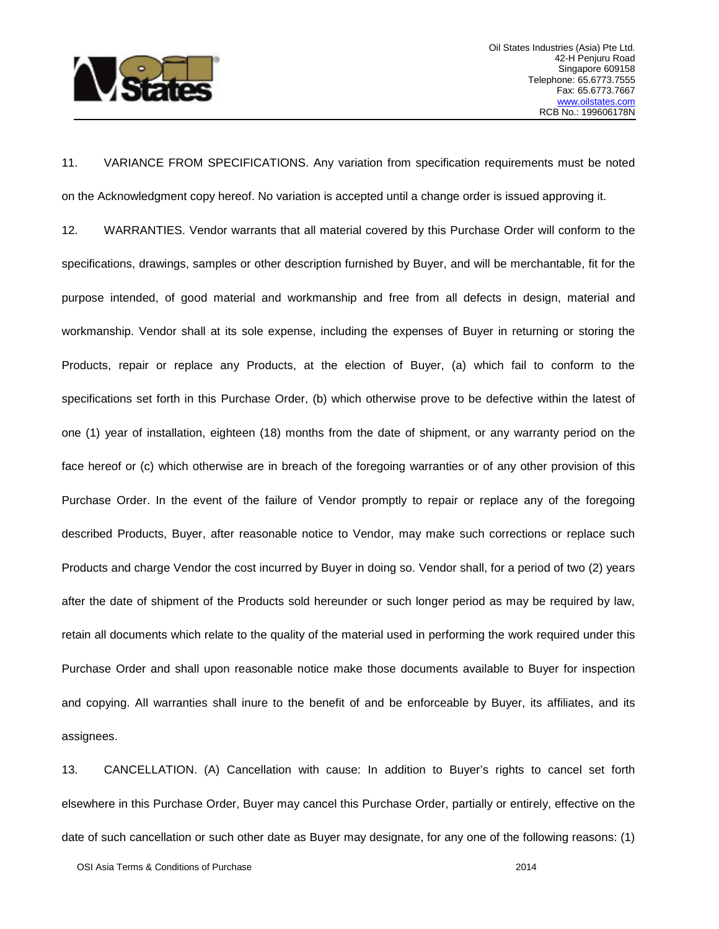

11. VARIANCE FROM SPECIFICATIONS. Any variation from specification requirements must be noted on the Acknowledgment copy hereof. No variation is accepted until a change order is issued approving it.

12. WARRANTIES. Vendor warrants that all material covered by this Purchase Order will conform to the specifications, drawings, samples or other description furnished by Buyer, and will be merchantable, fit for the purpose intended, of good material and workmanship and free from all defects in design, material and workmanship. Vendor shall at its sole expense, including the expenses of Buyer in returning or storing the Products, repair or replace any Products, at the election of Buyer, (a) which fail to conform to the specifications set forth in this Purchase Order, (b) which otherwise prove to be defective within the latest of one (1) year of installation, eighteen (18) months from the date of shipment, or any warranty period on the face hereof or (c) which otherwise are in breach of the foregoing warranties or of any other provision of this Purchase Order. In the event of the failure of Vendor promptly to repair or replace any of the foregoing described Products, Buyer, after reasonable notice to Vendor, may make such corrections or replace such Products and charge Vendor the cost incurred by Buyer in doing so. Vendor shall, for a period of two (2) years after the date of shipment of the Products sold hereunder or such longer period as may be required by law, retain all documents which relate to the quality of the material used in performing the work required under this Purchase Order and shall upon reasonable notice make those documents available to Buyer for inspection and copying. All warranties shall inure to the benefit of and be enforceable by Buyer, its affiliates, and its assignees.

13. CANCELLATION. (A) Cancellation with cause: In addition to Buyer's rights to cancel set forth elsewhere in this Purchase Order, Buyer may cancel this Purchase Order, partially or entirely, effective on the date of such cancellation or such other date as Buyer may designate, for any one of the following reasons: (1)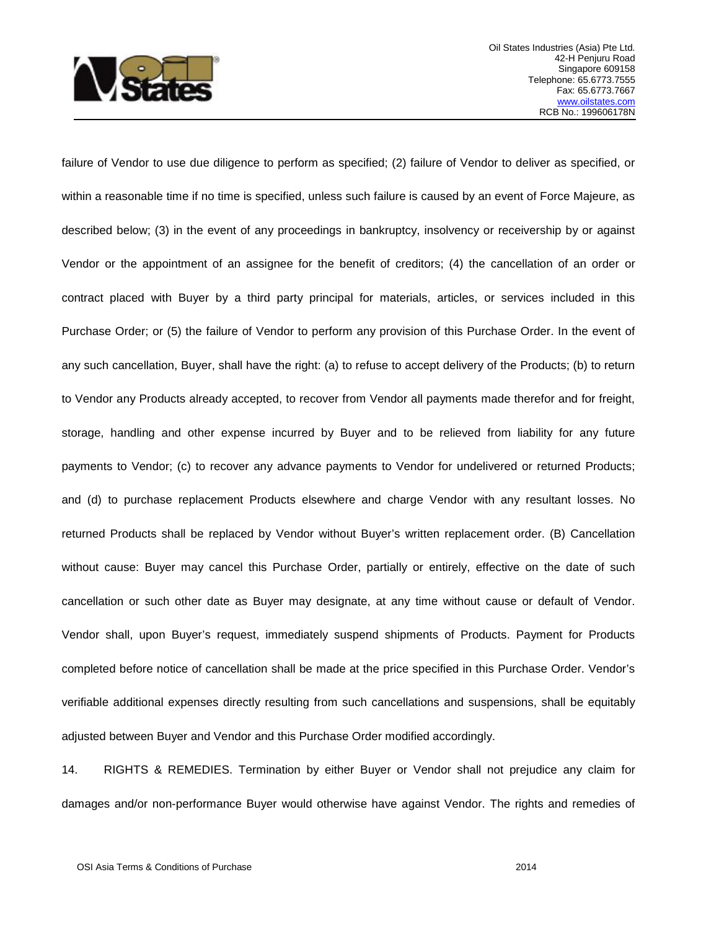

failure of Vendor to use due diligence to perform as specified; (2) failure of Vendor to deliver as specified, or within a reasonable time if no time is specified, unless such failure is caused by an event of Force Majeure, as described below; (3) in the event of any proceedings in bankruptcy, insolvency or receivership by or against Vendor or the appointment of an assignee for the benefit of creditors; (4) the cancellation of an order or contract placed with Buyer by a third party principal for materials, articles, or services included in this Purchase Order; or (5) the failure of Vendor to perform any provision of this Purchase Order. In the event of any such cancellation, Buyer, shall have the right: (a) to refuse to accept delivery of the Products; (b) to return to Vendor any Products already accepted, to recover from Vendor all payments made therefor and for freight, storage, handling and other expense incurred by Buyer and to be relieved from liability for any future payments to Vendor; (c) to recover any advance payments to Vendor for undelivered or returned Products; and (d) to purchase replacement Products elsewhere and charge Vendor with any resultant losses. No returned Products shall be replaced by Vendor without Buyer's written replacement order. (B) Cancellation without cause: Buyer may cancel this Purchase Order, partially or entirely, effective on the date of such cancellation or such other date as Buyer may designate, at any time without cause or default of Vendor. Vendor shall, upon Buyer's request, immediately suspend shipments of Products. Payment for Products completed before notice of cancellation shall be made at the price specified in this Purchase Order. Vendor's verifiable additional expenses directly resulting from such cancellations and suspensions, shall be equitably adjusted between Buyer and Vendor and this Purchase Order modified accordingly.

14. RIGHTS & REMEDIES. Termination by either Buyer or Vendor shall not prejudice any claim for damages and/or non-performance Buyer would otherwise have against Vendor. The rights and remedies of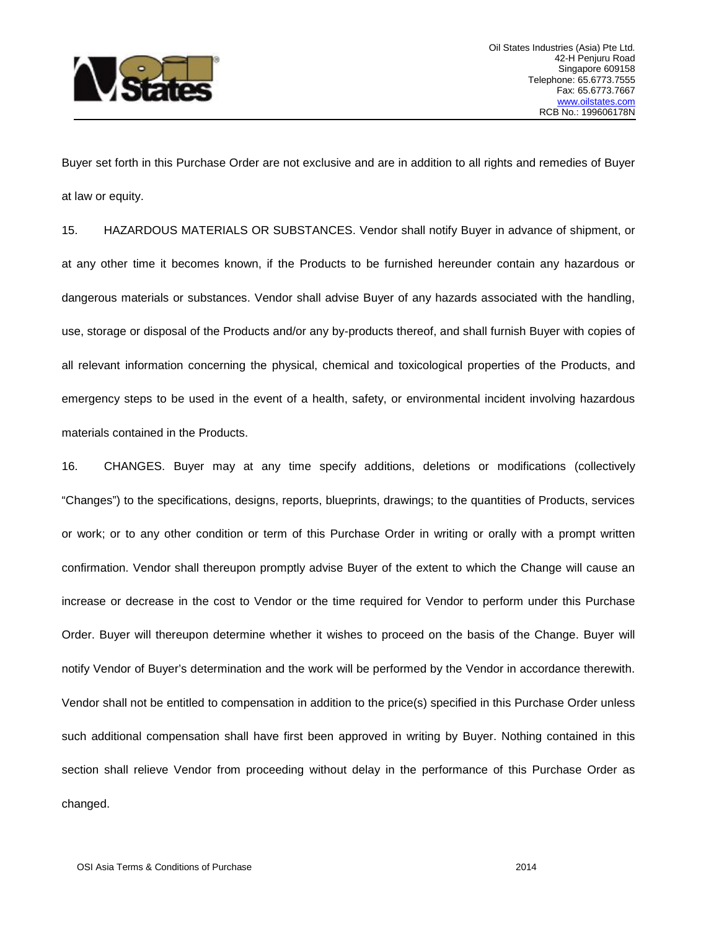

Buyer set forth in this Purchase Order are not exclusive and are in addition to all rights and remedies of Buyer at law or equity.

15. HAZARDOUS MATERIALS OR SUBSTANCES. Vendor shall notify Buyer in advance of shipment, or at any other time it becomes known, if the Products to be furnished hereunder contain any hazardous or dangerous materials or substances. Vendor shall advise Buyer of any hazards associated with the handling, use, storage or disposal of the Products and/or any by-products thereof, and shall furnish Buyer with copies of all relevant information concerning the physical, chemical and toxicological properties of the Products, and emergency steps to be used in the event of a health, safety, or environmental incident involving hazardous materials contained in the Products.

16. CHANGES. Buyer may at any time specify additions, deletions or modifications (collectively "Changes") to the specifications, designs, reports, blueprints, drawings; to the quantities of Products, services or work; or to any other condition or term of this Purchase Order in writing or orally with a prompt written confirmation. Vendor shall thereupon promptly advise Buyer of the extent to which the Change will cause an increase or decrease in the cost to Vendor or the time required for Vendor to perform under this Purchase Order. Buyer will thereupon determine whether it wishes to proceed on the basis of the Change. Buyer will notify Vendor of Buyer's determination and the work will be performed by the Vendor in accordance therewith. Vendor shall not be entitled to compensation in addition to the price(s) specified in this Purchase Order unless such additional compensation shall have first been approved in writing by Buyer. Nothing contained in this section shall relieve Vendor from proceeding without delay in the performance of this Purchase Order as changed.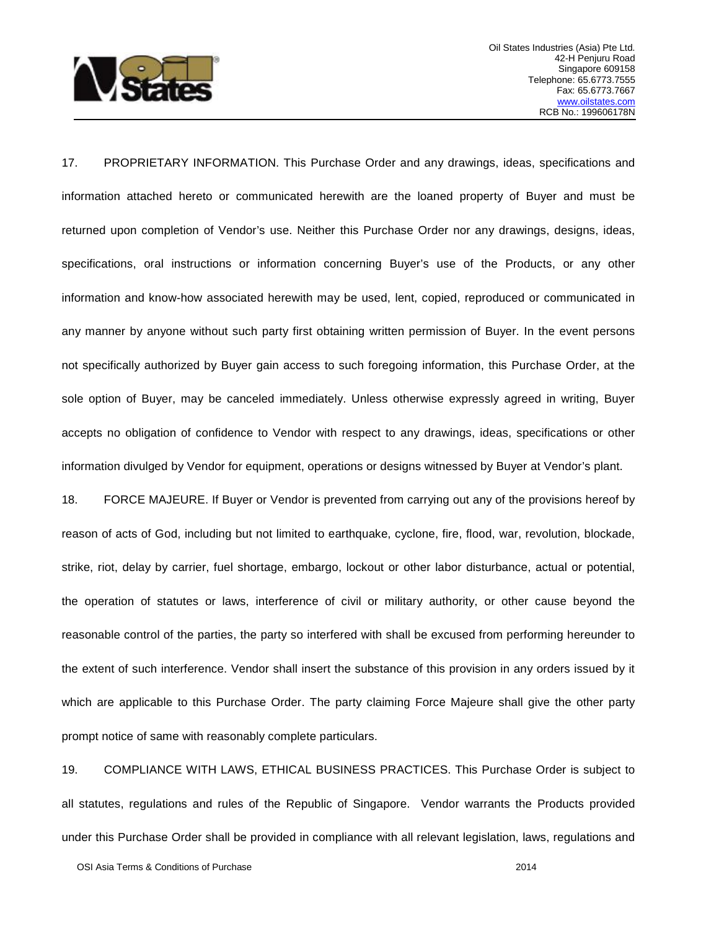

17. PROPRIETARY INFORMATION. This Purchase Order and any drawings, ideas, specifications and information attached hereto or communicated herewith are the loaned property of Buyer and must be returned upon completion of Vendor's use. Neither this Purchase Order nor any drawings, designs, ideas, specifications, oral instructions or information concerning Buyer's use of the Products, or any other information and know-how associated herewith may be used, lent, copied, reproduced or communicated in any manner by anyone without such party first obtaining written permission of Buyer. In the event persons not specifically authorized by Buyer gain access to such foregoing information, this Purchase Order, at the sole option of Buyer, may be canceled immediately. Unless otherwise expressly agreed in writing, Buyer accepts no obligation of confidence to Vendor with respect to any drawings, ideas, specifications or other information divulged by Vendor for equipment, operations or designs witnessed by Buyer at Vendor's plant.

18. FORCE MAJEURE. If Buyer or Vendor is prevented from carrying out any of the provisions hereof by reason of acts of God, including but not limited to earthquake, cyclone, fire, flood, war, revolution, blockade, strike, riot, delay by carrier, fuel shortage, embargo, lockout or other labor disturbance, actual or potential, the operation of statutes or laws, interference of civil or military authority, or other cause beyond the reasonable control of the parties, the party so interfered with shall be excused from performing hereunder to the extent of such interference. Vendor shall insert the substance of this provision in any orders issued by it which are applicable to this Purchase Order. The party claiming Force Majeure shall give the other party prompt notice of same with reasonably complete particulars.

19. COMPLIANCE WITH LAWS, ETHICAL BUSINESS PRACTICES. This Purchase Order is subject to all statutes, regulations and rules of the Republic of Singapore. Vendor warrants the Products provided under this Purchase Order shall be provided in compliance with all relevant legislation, laws, regulations and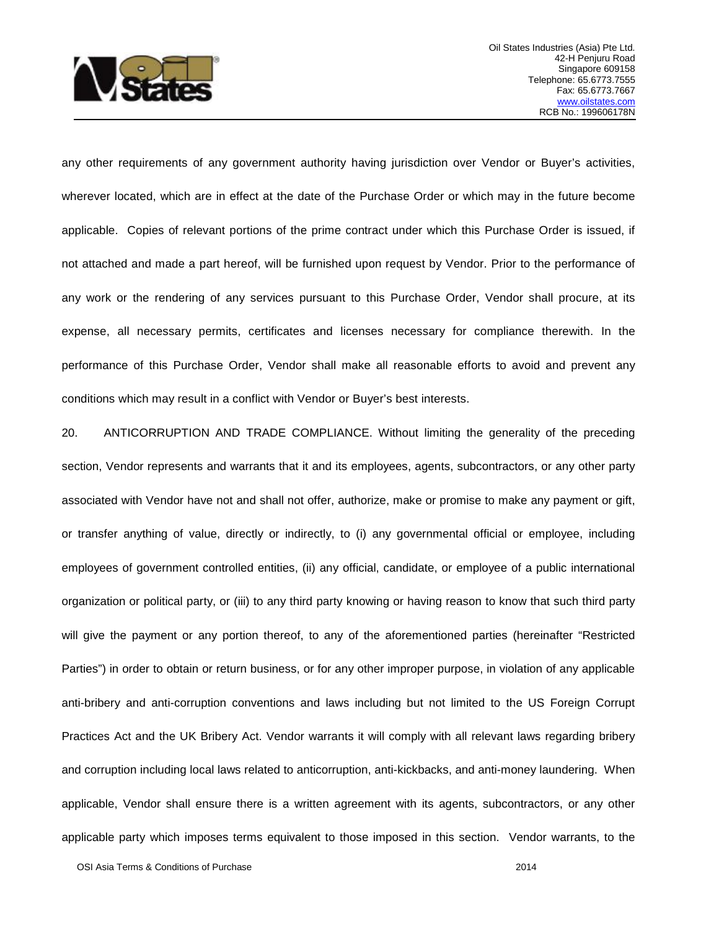

any other requirements of any government authority having jurisdiction over Vendor or Buyer's activities, wherever located, which are in effect at the date of the Purchase Order or which may in the future become applicable. Copies of relevant portions of the prime contract under which this Purchase Order is issued, if not attached and made a part hereof, will be furnished upon request by Vendor. Prior to the performance of any work or the rendering of any services pursuant to this Purchase Order, Vendor shall procure, at its expense, all necessary permits, certificates and licenses necessary for compliance therewith. In the performance of this Purchase Order, Vendor shall make all reasonable efforts to avoid and prevent any conditions which may result in a conflict with Vendor or Buyer's best interests.

20. ANTICORRUPTION AND TRADE COMPLIANCE. Without limiting the generality of the preceding section, Vendor represents and warrants that it and its employees, agents, subcontractors, or any other party associated with Vendor have not and shall not offer, authorize, make or promise to make any payment or gift, or transfer anything of value, directly or indirectly, to (i) any governmental official or employee, including employees of government controlled entities, (ii) any official, candidate, or employee of a public international organization or political party, or (iii) to any third party knowing or having reason to know that such third party will give the payment or any portion thereof, to any of the aforementioned parties (hereinafter "Restricted Parties") in order to obtain or return business, or for any other improper purpose, in violation of any applicable anti-bribery and anti-corruption conventions and laws including but not limited to the US Foreign Corrupt Practices Act and the UK Bribery Act. Vendor warrants it will comply with all relevant laws regarding bribery and corruption including local laws related to anticorruption, anti-kickbacks, and anti-money laundering. When applicable, Vendor shall ensure there is a written agreement with its agents, subcontractors, or any other applicable party which imposes terms equivalent to those imposed in this section. Vendor warrants, to the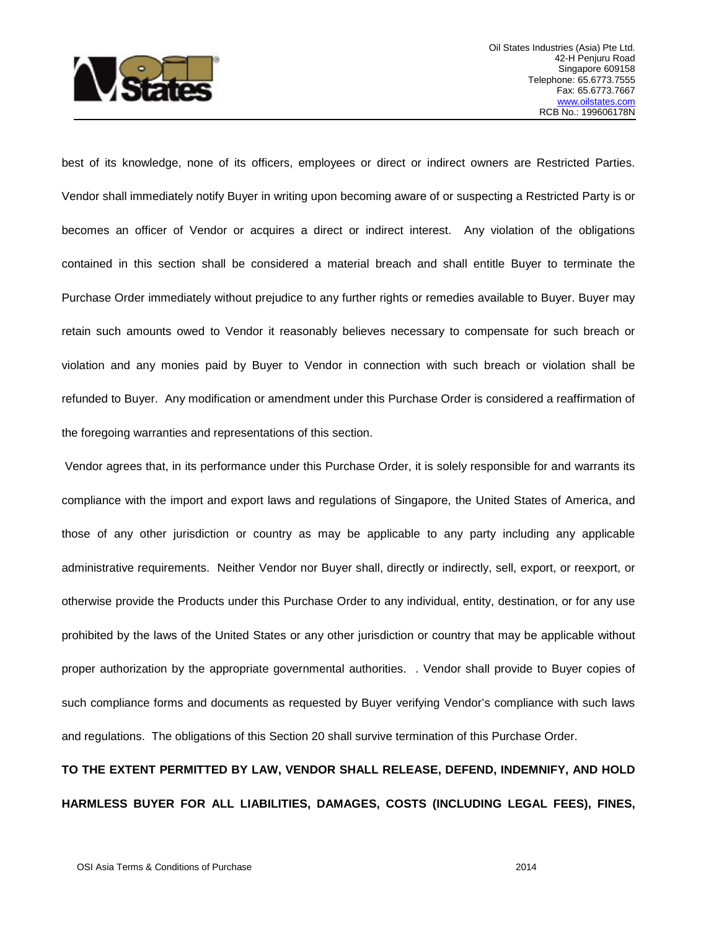

best of its knowledge, none of its officers, employees or direct or indirect owners are Restricted Parties. Vendor shall immediately notify Buyer in writing upon becoming aware of or suspecting a Restricted Party is or becomes an officer of Vendor or acquires a direct or indirect interest. Any violation of the obligations contained in this section shall be considered a material breach and shall entitle Buyer to terminate the Purchase Order immediately without prejudice to any further rights or remedies available to Buyer. Buyer may retain such amounts owed to Vendor it reasonably believes necessary to compensate for such breach or violation and any monies paid by Buyer to Vendor in connection with such breach or violation shall be refunded to Buyer. Any modification or amendment under this Purchase Order is considered a reaffirmation of the foregoing warranties and representations of this section.

Vendor agrees that, in its performance under this Purchase Order, it is solely responsible for and warrants its compliance with the import and export laws and regulations of Singapore, the United States of America, and those of any other jurisdiction or country as may be applicable to any party including any applicable administrative requirements. Neither Vendor nor Buyer shall, directly or indirectly, sell, export, or reexport, or otherwise provide the Products under this Purchase Order to any individual, entity, destination, or for any use prohibited by the laws of the United States or any other jurisdiction or country that may be applicable without proper authorization by the appropriate governmental authorities. . Vendor shall provide to Buyer copies of such compliance forms and documents as requested by Buyer verifying Vendor's compliance with such laws and regulations. The obligations of this Section 20 shall survive termination of this Purchase Order.

## **TO THE EXTENT PERMITTED BY LAW, VENDOR SHALL RELEASE, DEFEND, INDEMNIFY, AND HOLD HARMLESS BUYER FOR ALL LIABILITIES, DAMAGES, COSTS (INCLUDING LEGAL FEES), FINES,**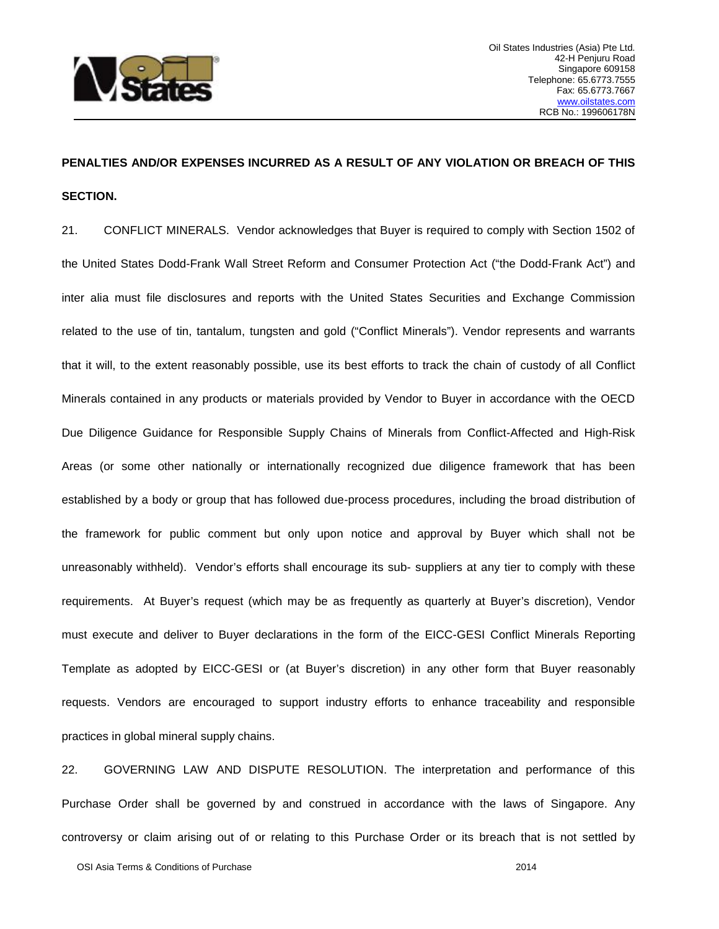

## **PENALTIES AND/OR EXPENSES INCURRED AS A RESULT OF ANY VIOLATION OR BREACH OF THIS SECTION.**

21. CONFLICT MINERALS. Vendor acknowledges that Buyer is required to comply with Section 1502 of the United States Dodd-Frank Wall Street Reform and Consumer Protection Act ("the Dodd-Frank Act") and inter alia must file disclosures and reports with the United States Securities and Exchange Commission related to the use of tin, tantalum, tungsten and gold ("Conflict Minerals"). Vendor represents and warrants that it will, to the extent reasonably possible, use its best efforts to track the chain of custody of all Conflict Minerals contained in any products or materials provided by Vendor to Buyer in accordance with the OECD Due Diligence Guidance for Responsible Supply Chains of Minerals from Conflict-Affected and High-Risk Areas (or some other nationally or internationally recognized due diligence framework that has been established by a body or group that has followed due-process procedures, including the broad distribution of the framework for public comment but only upon notice and approval by Buyer which shall not be unreasonably withheld). Vendor's efforts shall encourage its sub- suppliers at any tier to comply with these requirements. At Buyer's request (which may be as frequently as quarterly at Buyer's discretion), Vendor must execute and deliver to Buyer declarations in the form of the EICC-GESI Conflict Minerals Reporting Template as adopted by EICC-GESI or (at Buyer's discretion) in any other form that Buyer reasonably requests. Vendors are encouraged to support industry efforts to enhance traceability and responsible practices in global mineral supply chains.

22. GOVERNING LAW AND DISPUTE RESOLUTION. The interpretation and performance of this Purchase Order shall be governed by and construed in accordance with the laws of Singapore. Any controversy or claim arising out of or relating to this Purchase Order or its breach that is not settled by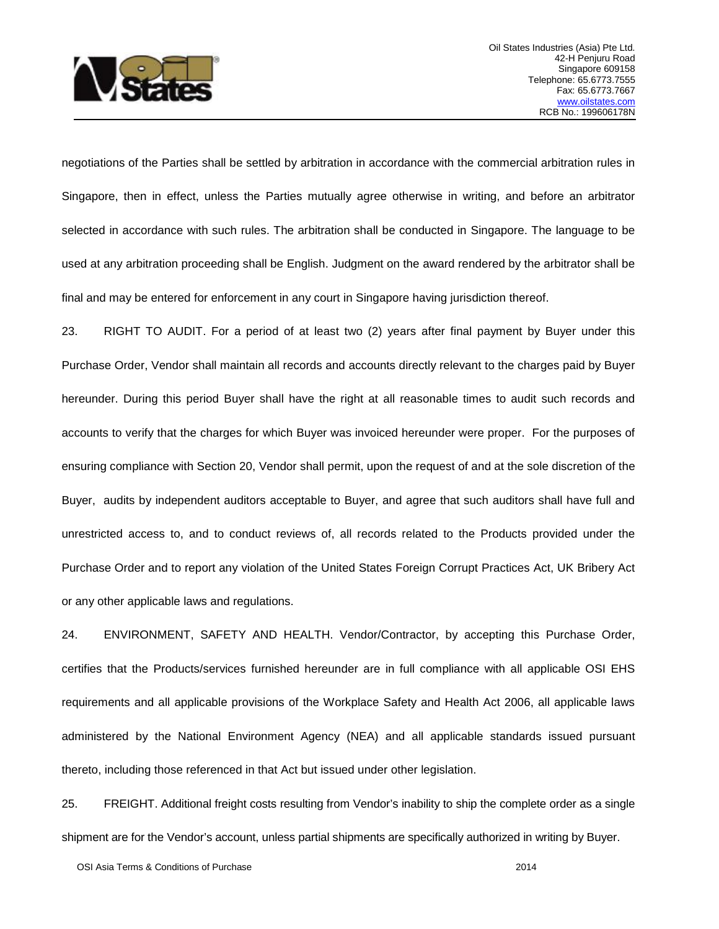

negotiations of the Parties shall be settled by arbitration in accordance with the commercial arbitration rules in Singapore, then in effect, unless the Parties mutually agree otherwise in writing, and before an arbitrator selected in accordance with such rules. The arbitration shall be conducted in Singapore. The language to be used at any arbitration proceeding shall be English. Judgment on the award rendered by the arbitrator shall be final and may be entered for enforcement in any court in Singapore having jurisdiction thereof.

23. RIGHT TO AUDIT. For a period of at least two (2) years after final payment by Buyer under this Purchase Order, Vendor shall maintain all records and accounts directly relevant to the charges paid by Buyer hereunder. During this period Buyer shall have the right at all reasonable times to audit such records and accounts to verify that the charges for which Buyer was invoiced hereunder were proper. For the purposes of ensuring compliance with Section 20, Vendor shall permit, upon the request of and at the sole discretion of the Buyer, audits by independent auditors acceptable to Buyer, and agree that such auditors shall have full and unrestricted access to, and to conduct reviews of, all records related to the Products provided under the Purchase Order and to report any violation of the United States Foreign Corrupt Practices Act, UK Bribery Act or any other applicable laws and regulations.

24. ENVIRONMENT, SAFETY AND HEALTH. Vendor/Contractor, by accepting this Purchase Order, certifies that the Products/services furnished hereunder are in full compliance with all applicable OSI EHS requirements and all applicable provisions of the Workplace Safety and Health Act 2006, all applicable laws administered by the National Environment Agency (NEA) and all applicable standards issued pursuant thereto, including those referenced in that Act but issued under other legislation.

25. FREIGHT. Additional freight costs resulting from Vendor's inability to ship the complete order as a single shipment are for the Vendor's account, unless partial shipments are specifically authorized in writing by Buyer.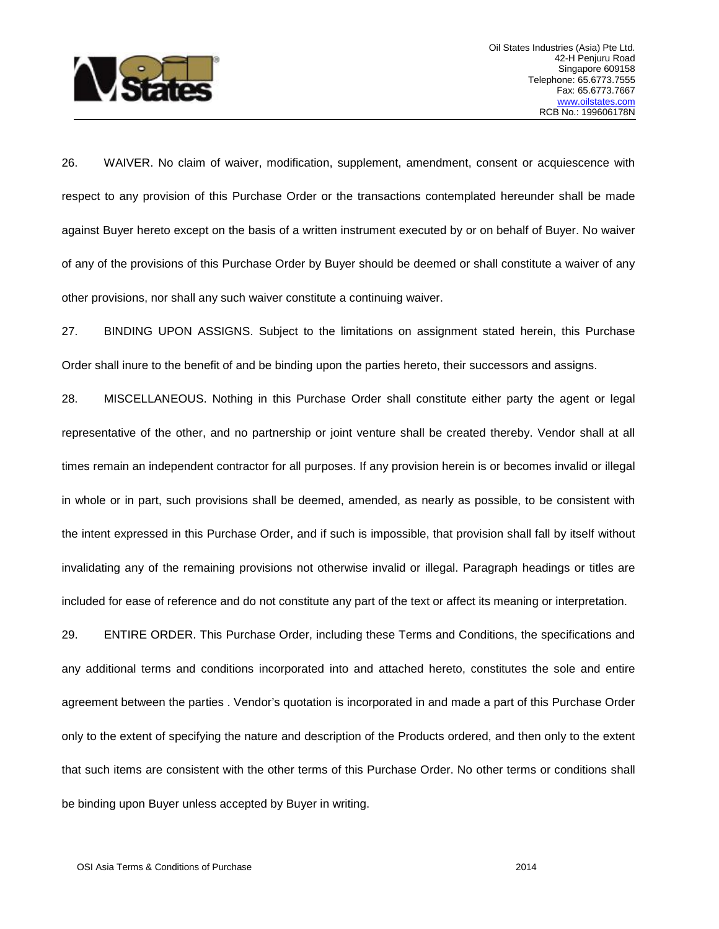

26. WAIVER. No claim of waiver, modification, supplement, amendment, consent or acquiescence with respect to any provision of this Purchase Order or the transactions contemplated hereunder shall be made against Buyer hereto except on the basis of a written instrument executed by or on behalf of Buyer. No waiver of any of the provisions of this Purchase Order by Buyer should be deemed or shall constitute a waiver of any other provisions, nor shall any such waiver constitute a continuing waiver.

27. BINDING UPON ASSIGNS. Subject to the limitations on assignment stated herein, this Purchase Order shall inure to the benefit of and be binding upon the parties hereto, their successors and assigns.

28. MISCELLANEOUS. Nothing in this Purchase Order shall constitute either party the agent or legal representative of the other, and no partnership or joint venture shall be created thereby. Vendor shall at all times remain an independent contractor for all purposes. If any provision herein is or becomes invalid or illegal in whole or in part, such provisions shall be deemed, amended, as nearly as possible, to be consistent with the intent expressed in this Purchase Order, and if such is impossible, that provision shall fall by itself without invalidating any of the remaining provisions not otherwise invalid or illegal. Paragraph headings or titles are included for ease of reference and do not constitute any part of the text or affect its meaning or interpretation.

29. ENTIRE ORDER. This Purchase Order, including these Terms and Conditions, the specifications and any additional terms and conditions incorporated into and attached hereto, constitutes the sole and entire agreement between the parties . Vendor's quotation is incorporated in and made a part of this Purchase Order only to the extent of specifying the nature and description of the Products ordered, and then only to the extent that such items are consistent with the other terms of this Purchase Order. No other terms or conditions shall be binding upon Buyer unless accepted by Buyer in writing.